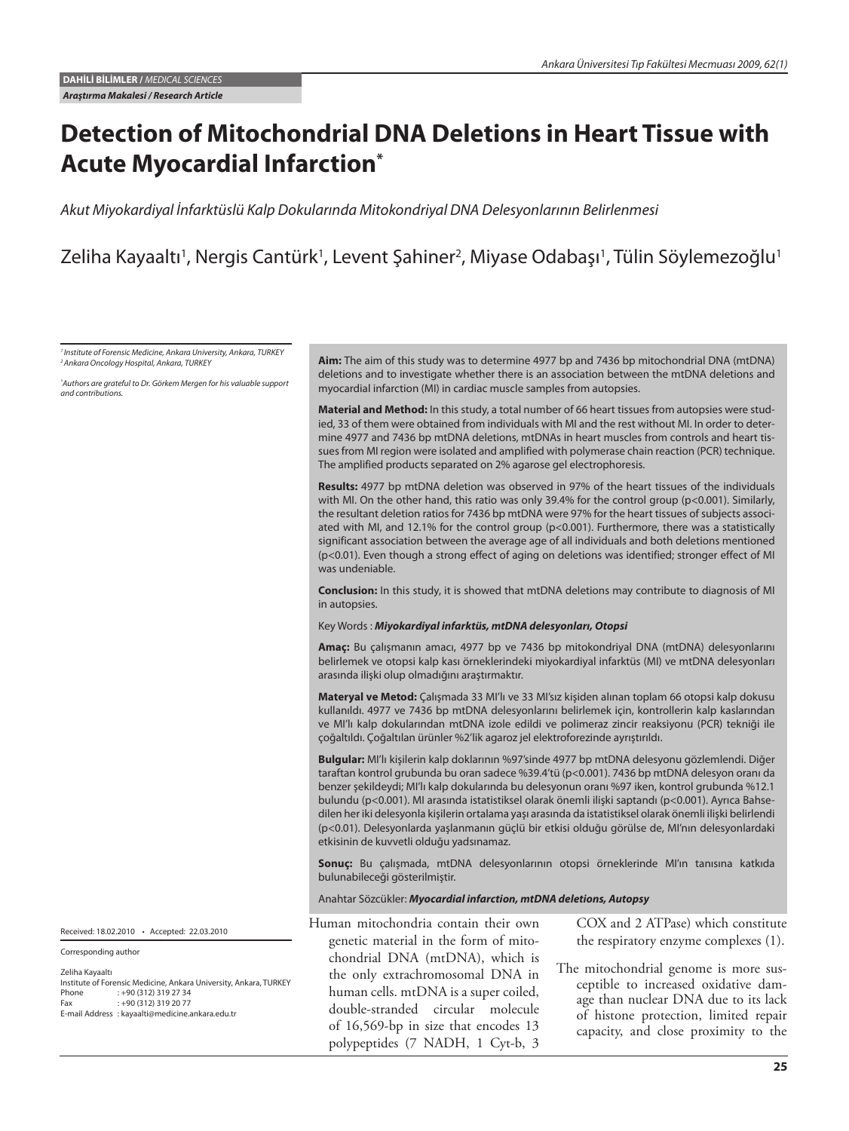# **Detection of Mitochondrial DNA Deletions in Heart Tissue with Acute Myocardial Infarction\***

*Akut Miyokardiyal İnfarktüslü Kalp Dokularında Mitokondriyal DNA Delesyonlarının Belirlenmesi* 

Zeliha Kayaaltı<sup>1</sup>, Nergis Cantürk<sup>1</sup>, Levent Şahiner<sup>2</sup>, Miyase Odabaşı<sup>1</sup>, Tülin Söylemezoğlu<sup>1</sup>

*1 Institute of Forensic Medicine, Ankara University, Ankara, TURKEY 2 Ankara Oncology Hospital, Ankara, TURKEY*

*\* Authors are grateful to Dr. Görkem Mergen for his valuable support and contributions.*

**Aim:** The aim of this study was to determine 4977 bp and 7436 bp mitochondrial DNA (mtDNA) deletions and to investigate whether there is an association between the mtDNA deletions and myocardial infarction (MI) in cardiac muscle samples from autopsies.

**Material and Method:** In this study, a total number of 66 heart tissues from autopsies were studied, 33 of them were obtained from individuals with MI and the rest without MI. In order to determine 4977 and 7436 bp mtDNA deletions, mtDNAs in heart muscles from controls and heart tissues from MI region were isolated and amplified with polymerase chain reaction (PCR) technique. The amplified products separated on 2% agarose gel electrophoresis.

**Results:** 4977 bp mtDNA deletion was observed in 97% of the heart tissues of the individuals with MI. On the other hand, this ratio was only 39.4% for the control group (p<0.001). Similarly, the resultant deletion ratios for 7436 bp mtDNA were 97% for the heart tissues of subjects associated with MI, and 12.1% for the control group ( $p<0.001$ ). Furthermore, there was a statistically significant association between the average age of all individuals and both deletions mentioned (p<0.01). Even though a strong effect of aging on deletions was identified; stronger effect of MI was undeniable.

**Conclusion:** In this study, it is showed that mtDNA deletions may contribute to diagnosis of MI in autopsies.

#### Key Words : *Miyokardiyal infarktüs, mtDNA delesyonları, Otopsi*

**Amaç:** Bu çalışmanın amacı, 4977 bp ve 7436 bp mitokondriyal DNA (mtDNA) delesyonlarını belirlemek ve otopsi kalp kası örneklerindeki miyokardiyal infarktüs (MI) ve mtDNA delesyonları arasında ilişki olup olmadığını araştırmaktır.

**Materyal ve Metod:** Çalışmada 33 MI'lı ve 33 MI'sız kişiden alınan toplam 66 otopsi kalp dokusu kullanıldı. 4977 ve 7436 bp mtDNA delesyonlarını belirlemek için, kontrollerin kalp kaslarından ve MI'lı kalp dokularından mtDNA izole edildi ve polimeraz zincir reaksiyonu (PCR) tekniği ile çoğaltıldı. Çoğaltılan ürünler %2'lik agaroz jel elektroforezinde ayrıştırıldı.

**Bulgular:** MI'lı kişilerin kalp doklarının %97'sinde 4977 bp mtDNA delesyonu gözlemlendi. Diğer taraftan kontrol grubunda bu oran sadece %39.4'tü (p<0.001). 7436 bp mtDNA delesyon oranı da benzer şekildeydi; MI'lı kalp dokularında bu delesyonun oranı %97 iken, kontrol grubunda %12.1 bulundu (p<0.001). MI arasında istatistiksel olarak önemli ilişki saptandı (p<0.001). Ayrıca Bahsedilen her iki delesyonla kişilerin ortalama yaşı arasında da istatistiksel olarak önemli ilişki belirlendi (p<0.01). Delesyonlarda yaşlanmanın güçlü bir etkisi olduğu görülse de, MI'nın delesyonlardaki etkisinin de kuvvetli olduğu yadsınamaz.

Sonuç: Bu çalışmada, mtDNA delesyonlarının otopsi örneklerinde MI'ın tanısına katkıda bulunabileceği gösterilmiştir.

#### Anahtar Sözcükler: *Myocardial infarction, mtDNA deletions, Autopsy*

Human mitochondria contain their own genetic material in the form of mitochondrial DNA (mtDNA), which is the only extrachromosomal DNA in human cells. mtDNA is a super coiled, double-stranded circular molecule of 16,569-bp in size that encodes 13 polypeptides (7 NADH, 1 Cyt-b, 3

COX and 2 ATPase) which constitute the respiratory enzyme complexes (1).

The mitochondrial genome is more susceptible to increased oxidative damage than nuclear DNA due to its lack of histone protection, limited repair capacity, and close proximity to the

Received: 18.02.2010 • Accepted: 22.03.2010

Corresponding author

Zeliha Kayaaltı Institute of Forensic Medicine, Ankara University, Ankara, TURKEY Phone : +90 (312) 319 27 34 Fax : +90 (312) 319 20 77 E-mail Address : kayaalti@medicine.ankara.edu.tr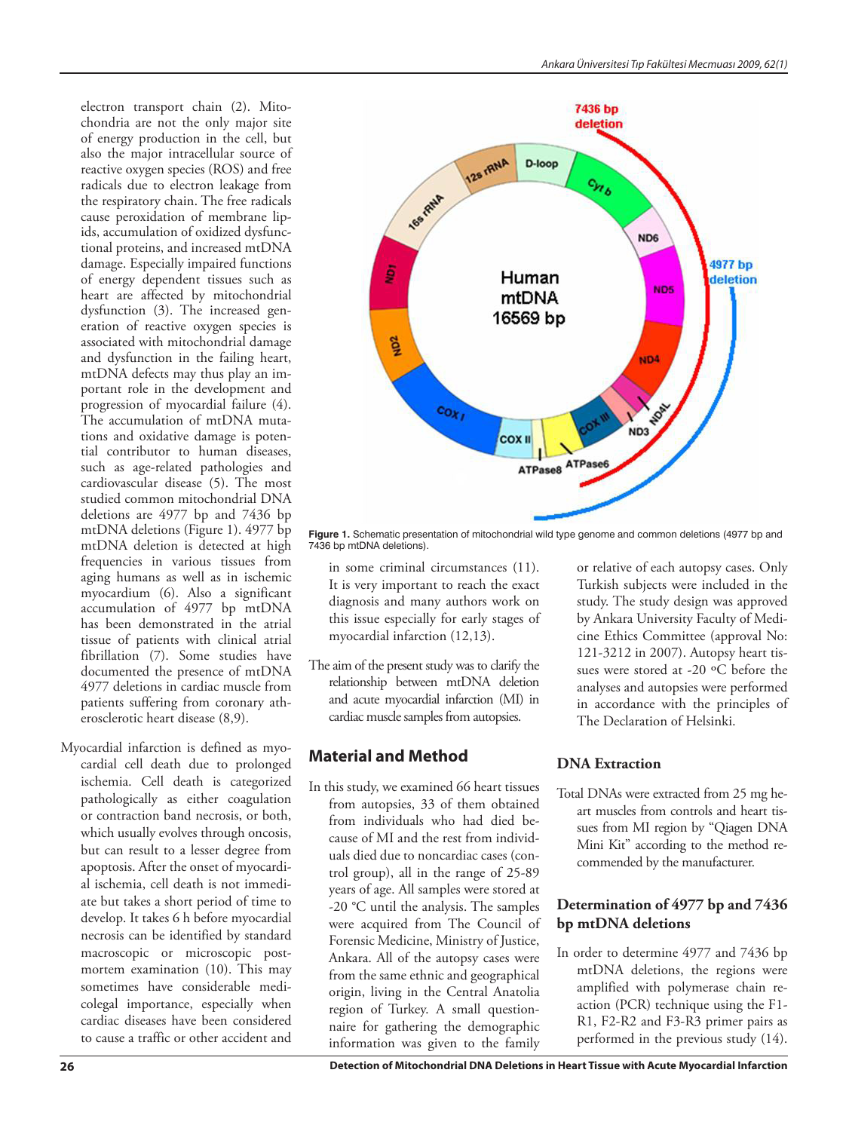electron transport chain (2). Mitochondria are not the only major site of energy production in the cell, but also the major intracellular source of reactive oxygen species (ROS) and free radicals due to electron leakage from the respiratory chain. The free radicals cause peroxidation of membrane lipids, accumulation of oxidized dysfunctional proteins, and increased mtDNA damage. Especially impaired functions of energy dependent tissues such as heart are affected by mitochondrial dysfunction (3). The increased generation of reactive oxygen species is associated with mitochondrial damage and dysfunction in the failing heart, mtDNA defects may thus play an important role in the development and progression of myocardial failure (4). The accumulation of mtDNA mutations and oxidative damage is potential contributor to human diseases, such as age-related pathologies and cardiovascular disease (5). The most studied common mitochondrial DNA deletions are 4977 bp and 7436 bp mtDNA deletions (Figure 1). 4977 bp mtDNA deletion is detected at high frequencies in various tissues from aging humans as well as in ischemic myocardium (6). Also a significant accumulation of 4977 bp mtDNA has been demonstrated in the atrial tissue of patients with clinical atrial fibrillation (7). Some studies have documented the presence of mtDNA 4977 deletions in cardiac muscle from patients suffering from coronary atherosclerotic heart disease (8,9).

Myocardial infarction is defined as myocardial cell death due to prolonged ischemia. Cell death is categorized pathologically as either coagulation or contraction band necrosis, or both, which usually evolves through oncosis, but can result to a lesser degree from apoptosis. After the onset of myocardial ischemia, cell death is not immediate but takes a short period of time to develop. It takes 6 h before myocardial necrosis can be identified by standard macroscopic or microscopic postmortem examination (10). This may sometimes have considerable medicolegal importance, especially when cardiac diseases have been considered to cause a traffic or other accident and



**Figure 1.** Schematic presentation of mitochondrial wild type genome and common deletions (4977 bp and 7436 bp mtDNA deletions).

- in some criminal circumstances (11). It is very important to reach the exact diagnosis and many authors work on this issue especially for early stages of myocardial infarction (12,13).
- The aim of the present study was to clarify the relationship between mtDNA deletion and acute myocardial infarction (MI) in cardiac muscle samples from autopsies.

## **Material and Method**

In this study, we examined 66 heart tissues from autopsies, 33 of them obtained from individuals who had died because of MI and the rest from individuals died due to noncardiac cases (control group), all in the range of 25-89 years of age. All samples were stored at -20 °C until the analysis. The samples were acquired from The Council of Forensic Medicine, Ministry of Justice, Ankara. All of the autopsy cases were from the same ethnic and geographical origin, living in the Central Anatolia region of Turkey. A small questionnaire for gathering the demographic information was given to the family

or relative of each autopsy cases. Only Turkish subjects were included in the study. The study design was approved by Ankara University Faculty of Medicine Ethics Committee (approval No: 121-3212 in 2007). Autopsy heart tissues were stored at -20 ºC before the analyses and autopsies were performed in accordance with the principles of The Declaration of Helsinki.

## **DNA Extraction**

Total DNAs were extracted from 25 mg heart muscles from controls and heart tissues from MI region by "Qiagen DNA Mini Kit" according to the method recommended by the manufacturer.

#### **Determination of 4977 bp and 7436 bp mtDNA deletions**

In order to determine 4977 and 7436 bp mtDNA deletions, the regions were amplified with polymerase chain reaction (PCR) technique using the F1- R1, F2-R2 and F3-R3 primer pairs as performed in the previous study (14).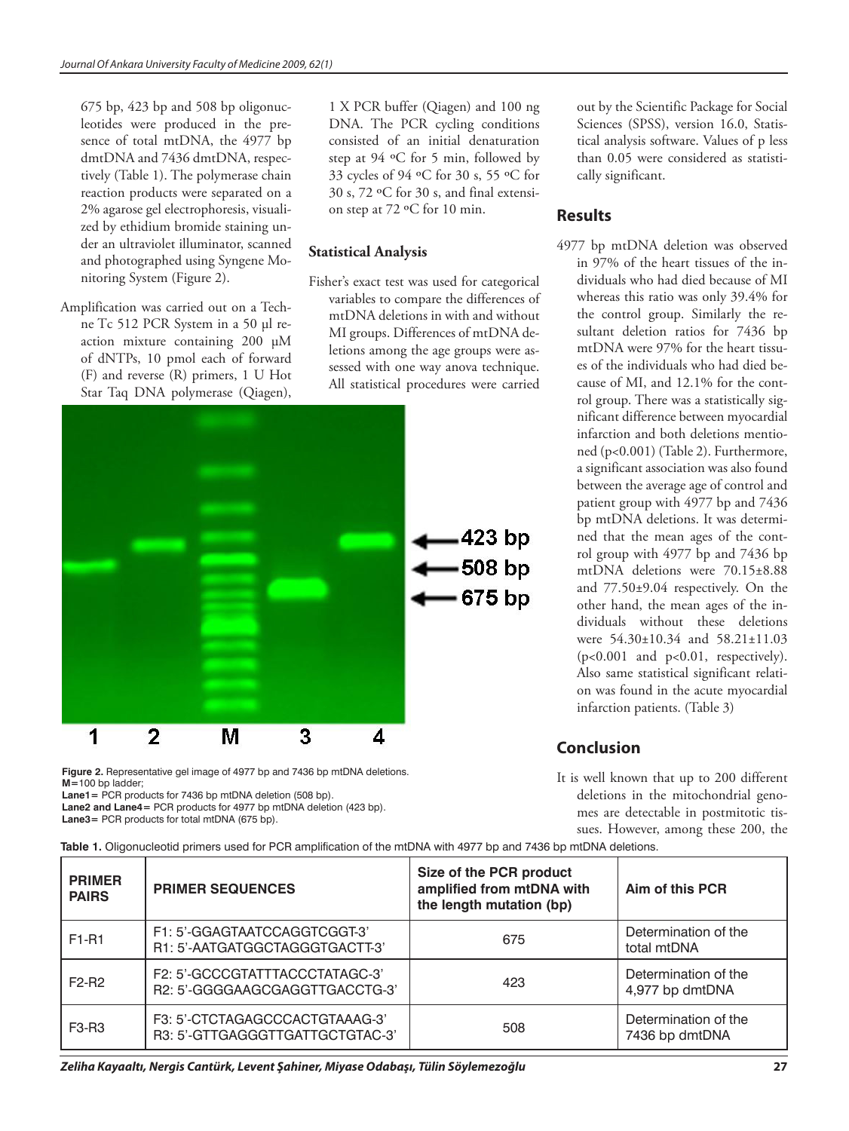675 bp, 423 bp and 508 bp oligonucleotides were produced in the presence of total mtDNA, the 4977 bp dmtDNA and 7436 dmtDNA, respectively (Table 1). The polymerase chain reaction products were separated on a 2% agarose gel electrophoresis, visualized by ethidium bromide staining under an ultraviolet illuminator, scanned and photographed using Syngene Monitoring System (Figure 2).

Amplification was carried out on a Techne Tc 512 PCR System in a 50 µl reaction mixture containing 200 µM of dNTPs, 10 pmol each of forward (F) and reverse (R) primers, 1 U Hot Star Taq DNA polymerase (Qiagen),

1 X PCR buffer (Qiagen) and 100 ng DNA. The PCR cycling conditions consisted of an initial denaturation step at 94 ºC for 5 min, followed by 33 cycles of 94 ºC for 30 s, 55 ºC for 30 s, 72 ºC for 30 s, and final extension step at 72 ºC for 10 min.

### **Statistical Analysis**

Fisher's exact test was used for categorical variables to compare the differences of mtDNA deletions in with and without MI groups. Differences of mtDNA deletions among the age groups were assessed with one way anova technique. All statistical procedures were carried



**Figure 2.** Representative gel image of 4977 bp and 7436 bp mtDNA deletions. **M=**100 bp ladder;

**Lane1=** PCR products for 7436 bp mtDNA deletion (508 bp).

**Lane2 and Lane4=** PCR products for 4977 bp mtDNA deletion (423 bp).

**Lane3=** PCR products for total mtDNA (675 bp).

out by the Scientific Package for Social Sciences (SPSS), version 16.0, Statistical analysis software. Values of p less than 0.05 were considered as statistically significant.

# **Results**

4977 bp mtDNA deletion was observed in 97% of the heart tissues of the individuals who had died because of MI whereas this ratio was only 39.4% for the control group. Similarly the resultant deletion ratios for 7436 bp mtDNA were 97% for the heart tissues of the individuals who had died because of MI, and 12.1% for the control group. There was a statistically significant difference between myocardial infarction and both deletions mentioned (p<0.001) (Table 2). Furthermore, a significant association was also found between the average age of control and patient group with 4977 bp and 7436 bp mtDNA deletions. It was determined that the mean ages of the control group with 4977 bp and 7436 bp mtDNA deletions were 70.15±8.88 and 77.50±9.04 respectively. On the other hand, the mean ages of the individuals without these deletions were 54.30±10.34 and 58.21±11.03 (p<0.001 and p<0.01, respectively). Also same statistical significant relation was found in the acute myocardial infarction patients. (Table 3)

# **Conclusion**

It is well known that up to 200 different deletions in the mitochondrial genomes are detectable in postmitotic tissues. However, among these 200, the

| <b>PRIMER</b><br><b>PAIRS</b>  | <b>PRIMER SEQUENCES</b>                                           | Size of the PCR product<br>amplified from mtDNA with<br>the length mutation (bp) | Aim of this PCR                         |  |
|--------------------------------|-------------------------------------------------------------------|----------------------------------------------------------------------------------|-----------------------------------------|--|
| F1-R1                          | F1: 5'-GGAGTAATCCAGGTCGGT-3'<br>R1: 5'-AATGATGGCTAGGGTGACTT-3'    | 675                                                                              | Determination of the<br>total mtDNA     |  |
| F <sub>2</sub> -R <sub>2</sub> | F2: 5'-GCCCGTATTTACCCTATAGC-3'<br>R2: 5'-GGGGAAGCGAGGTTGACCTG-3'  | 423                                                                              | Determination of the<br>4,977 bp dmtDNA |  |
| F <sub>3</sub> -R <sub>3</sub> | F3: 5'-CTCTAGAGCCCACTGTAAAG-3'<br>R3: 5'-GTTGAGGGTTGATTGCTGTAC-3' | 508                                                                              | Determination of the<br>7436 bp dmtDNA  |  |

**Table 1.** Oligonucleotid primers used for PCR amplification of the mtDNA with 4977 bp and 7436 bp mtDNA deletions.

*Zeliha Kayaaltı, Nergis Cantürk, Levent Şahiner, Miyase Odabaşı, Tülin Söylemezoğlu*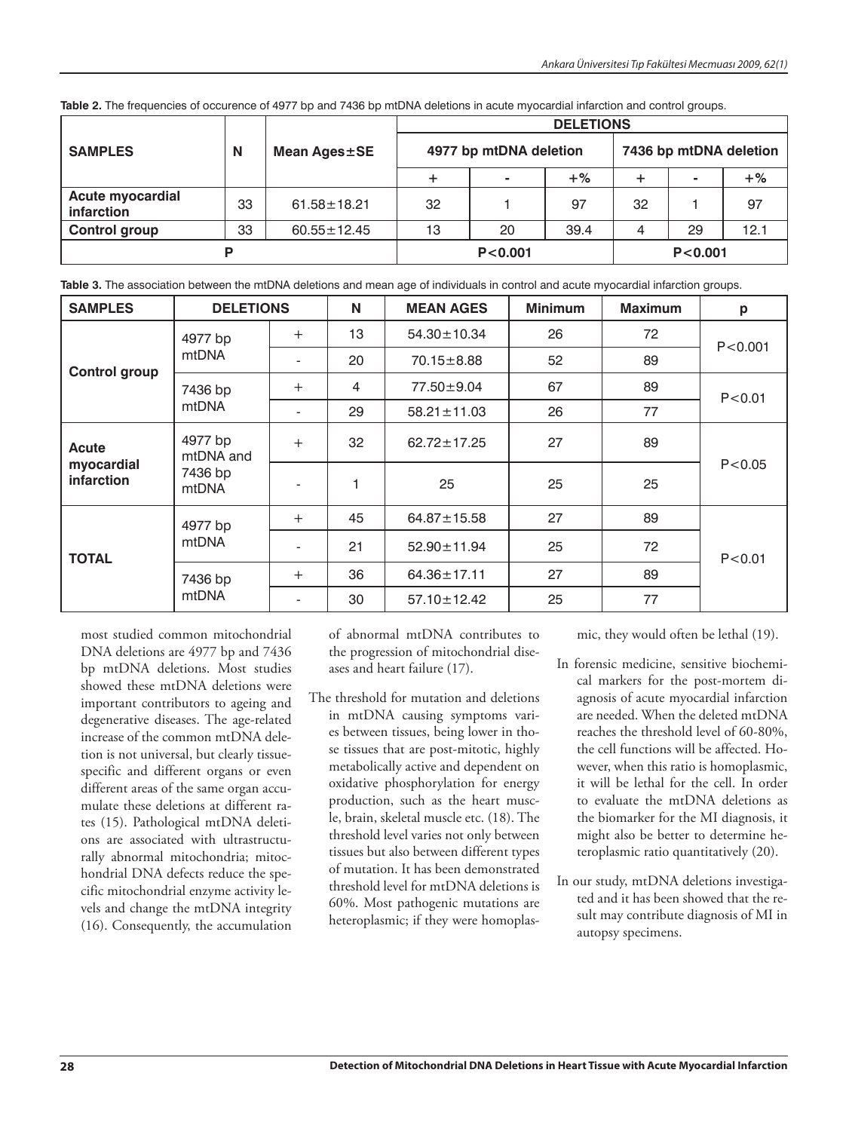|                                       |    | Mean Ages±SE      | <b>DELETIONS</b>       |    |           |                        |    |       |
|---------------------------------------|----|-------------------|------------------------|----|-----------|------------------------|----|-------|
| <b>SAMPLES</b>                        | N  |                   | 4977 bp mtDNA deletion |    |           | 7436 bp mtDNA deletion |    |       |
|                                       |    |                   |                        |    | $+$ %     | ٠                      |    | $+$ % |
| <b>Acute myocardial</b><br>infarction | 33 | $61.58 \pm 18.21$ | 32                     |    | 97        | 32                     |    | 97    |
| <b>Control group</b>                  | 33 | $60.55 \pm 12.45$ | 13                     | 20 | 39.4      | 4                      | 29 | 12.1  |
| D                                     |    |                   | P < 0.001              |    | P < 0.001 |                        |    |       |

**Table 2.** The frequencies of occurence of 4977 bp and 7436 bp mtDNA deletions in acute myocardial infarction and control groups.

**Table 3.** The association between the mtDNA deletions and mean age of individuals in control and acute myocardial infarction groups.

| <b>SAMPLES</b>                  | <b>DELETIONS</b>                         |                          | N  | <b>MEAN AGES</b>  | <b>Minimum</b> | <b>Maximum</b> | p         |  |
|---------------------------------|------------------------------------------|--------------------------|----|-------------------|----------------|----------------|-----------|--|
|                                 | 4977 bp<br>mtDNA                         | $+$                      | 13 | 54.30±10.34       | 26             | 72             |           |  |
| <b>Control group</b>            |                                          | $\overline{\phantom{a}}$ | 20 | $70.15 \pm 8.88$  | 52             | 89             | P < 0.001 |  |
|                                 | 7436 bp<br>mtDNA                         | $^{+}$                   | 4  | 77.50 ± 9.04      | 67             | 89             | P < 0.01  |  |
|                                 |                                          | ۰                        | 29 | $58.21 \pm 11.03$ | 26             | 77             |           |  |
| <b>Acute</b>                    | 4977 bp<br>mtDNA and<br>7436 bp<br>mtDNA | $^{+}$                   | 32 | $62.72 \pm 17.25$ | 27             | 89             |           |  |
| myocardial<br><b>infarction</b> |                                          | $\overline{\phantom{a}}$ |    | 25                | 25             | 25             | P < 0.05  |  |
|                                 | 4977 bp<br>mtDNA                         | $^{+}$                   | 45 | $64.87 \pm 15.58$ | 27             | 89             |           |  |
| <b>TOTAL</b>                    |                                          | $\overline{\phantom{a}}$ | 21 | 52.90 ± 11.94     | 25             | 72             | P < 0.01  |  |
|                                 | 7436 bp<br>mtDNA                         | $^{+}$                   | 36 | $64.36 \pm 17.11$ | 27             | 89             |           |  |
|                                 |                                          | $\overline{\phantom{a}}$ | 30 | 57.10 ± 12.42     | 25             | 77             |           |  |

most studied common mitochondrial DNA deletions are 4977 bp and 7436 bp mtDNA deletions. Most studies showed these mtDNA deletions were important contributors to ageing and degenerative diseases. The age-related increase of the common mtDNA deletion is not universal, but clearly tissuespecific and different organs or even different areas of the same organ accumulate these deletions at different rates (15). Pathological mtDNA deletions are associated with ultrastructurally abnormal mitochondria; mitochondrial DNA defects reduce the specific mitochondrial enzyme activity levels and change the mtDNA integrity (16). Consequently, the accumulation

of abnormal mtDNA contributes to the progression of mitochondrial diseases and heart failure (17).

The threshold for mutation and deletions in mtDNA causing symptoms varies between tissues, being lower in those tissues that are post-mitotic, highly metabolically active and dependent on oxidative phosphorylation for energy production, such as the heart muscle, brain, skeletal muscle etc. (18). The threshold level varies not only between tissues but also between different types of mutation. It has been demonstrated threshold level for mtDNA deletions is 60%. Most pathogenic mutations are heteroplasmic; if they were homoplasmic, they would often be lethal (19).

- In forensic medicine, sensitive biochemical markers for the post-mortem diagnosis of acute myocardial infarction are needed. When the deleted mtDNA reaches the threshold level of 60-80%, the cell functions will be affected. However, when this ratio is homoplasmic, it will be lethal for the cell. In order to evaluate the mtDNA deletions as the biomarker for the MI diagnosis, it might also be better to determine heteroplasmic ratio quantitatively (20).
- In our study, mtDNA deletions investigated and it has been showed that the result may contribute diagnosis of MI in autopsy specimens.